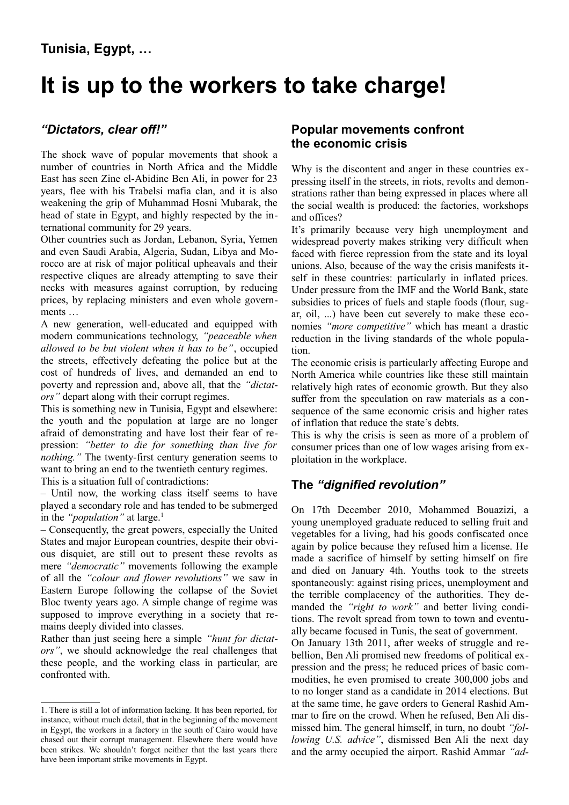# **It is up to the workers to take charge!**

# *"Dictators, clear off!"*

The shock wave of popular movements that shook a number of countries in North Africa and the Middle East has seen Zine el-Abidine Ben Ali, in power for 23 years, flee with his Trabelsi mafia clan, and it is also weakening the grip of Muhammad Hosni Mubarak, the head of state in Egypt, and highly respected by the international community for 29 years.

Other countries such as Jordan, Lebanon, Syria, Yemen and even Saudi Arabia, Algeria, Sudan, Libya and Morocco are at risk of major political upheavals and their respective cliques are already attempting to save their necks with measures against corruption, by reducing prices, by replacing ministers and even whole governments …

A new generation, well-educated and equipped with modern communications technology, *"peaceable when allowed to be but violent when it has to be"*, occupied the streets, effectively defeating the police but at the cost of hundreds of lives, and demanded an end to poverty and repression and, above all, that the *"dictators"* depart along with their corrupt regimes.

This is something new in Tunisia, Egypt and elsewhere: the youth and the population at large are no longer afraid of demonstrating and have lost their fear of repression: *"better to die for something than live for nothing.*" The twenty-first century generation seems to want to bring an end to the twentieth century regimes. This is a situation full of contradictions:

– Until now, the working class itself seems to have played a secondary role and has tended to be submerged in the *"population"* at large.<sup>[1](#page-0-0)</sup>

– Consequently, the great powers, especially the United States and major European countries, despite their obvious disquiet, are still out to present these revolts as mere *"democratic"* movements following the example of all the *"colour and flower revolutions"* we saw in Eastern Europe following the collapse of the Soviet Bloc twenty years ago. A simple change of regime was supposed to improve everything in a society that remains deeply divided into classes.

Rather than just seeing here a simple *"hunt for dictators"*, we should acknowledge the real challenges that these people, and the working class in particular, are confronted with.

## **Popular movements confront the economic crisis**

Why is the discontent and anger in these countries expressing itself in the streets, in riots, revolts and demonstrations rather than being expressed in places where all the social wealth is produced: the factories, workshops and offices?

It's primarily because very high unemployment and widespread poverty makes striking very difficult when faced with fierce repression from the state and its loyal unions. Also, because of the way the crisis manifests itself in these countries: particularly in inflated prices. Under pressure from the IMF and the World Bank, state subsidies to prices of fuels and staple foods (flour, sugar, oil, ...) have been cut severely to make these economies *"more competitive"* which has meant a drastic reduction in the living standards of the whole population.

The economic crisis is particularly affecting Europe and North America while countries like these still maintain relatively high rates of economic growth. But they also suffer from the speculation on raw materials as a consequence of the same economic crisis and higher rates of inflation that reduce the state's debts.

This is why the crisis is seen as more of a problem of consumer prices than one of low wages arising from exploitation in the workplace.

# **The** *"dignified revolution"*

On 17th December 2010, Mohammed Bouazizi, a young unemployed graduate reduced to selling fruit and vegetables for a living, had his goods confiscated once again by police because they refused him a license. He made a sacrifice of himself by setting himself on fire and died on January 4th. Youths took to the streets spontaneously: against rising prices, unemployment and the terrible complacency of the authorities. They demanded the *"right to work"* and better living conditions. The revolt spread from town to town and eventually became focused in Tunis, the seat of government. On January 13th 2011, after weeks of struggle and re-

bellion, Ben Ali promised new freedoms of political expression and the press; he reduced prices of basic commodities, he even promised to create 300,000 jobs and to no longer stand as a candidate in 2014 elections. But at the same time, he gave orders to General Rashid Ammar to fire on the crowd. When he refused, Ben Ali dismissed him. The general himself, in turn, no doubt *"following U.S. advice"*, dismissed Ben Ali the next day and the army occupied the airport. Rashid Ammar *"ad-*

<span id="page-0-0"></span><sup>1.</sup> There is still a lot of information lacking. It has been reported, for instance, without much detail, that in the beginning of the movement in Egypt, the workers in a factory in the south of Cairo would have chased out their corrupt management. Elsewhere there would have been strikes. We shouldn't forget neither that the last years there have been important strike movements in Egypt.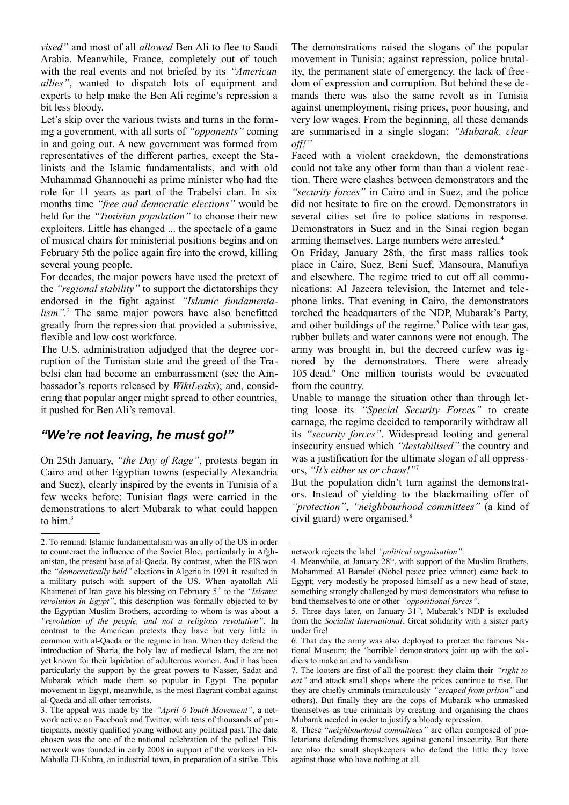*vised"* and most of all *allowed* Ben Ali to flee to Saudi Arabia. Meanwhile, France, completely out of touch with the real events and not briefed by its *"American allies"*, wanted to dispatch lots of equipment and experts to help make the Ben Ali regime's repression a bit less bloody.

Let's skip over the various twists and turns in the forming a government, with all sorts of *"opponents"* coming in and going out. A new government was formed from representatives of the different parties, except the Stalinists and the Islamic fundamentalists, and with old Muhammad Ghannouchi as prime minister who had the role for 11 years as part of the Trabelsi clan. In six months time *"free and democratic elections"* would be held for the *"Tunisian population"* to choose their new exploiters. Little has changed ... the spectacle of a game of musical chairs for ministerial positions begins and on February 5th the police again fire into the crowd, killing several young people.

For decades, the major powers have used the pretext of the *"regional stability"* to support the dictatorships they endorsed in the fight against *"Islamic fundamentalism".*[2](#page-1-0) The same major powers have also benefitted greatly from the repression that provided a submissive, flexible and low cost workforce.

The U.S. administration adjudged that the degree corruption of the Tunisian state and the greed of the Trabelsi clan had become an embarrassment (see the Ambassador's reports released by *WikiLeaks*); and, considering that popular anger might spread to other countries, it pushed for Ben Ali's removal.

#### *"We're not leaving, he must go!"*

On 25th January, *"the Day of Rage"*, protests began in Cairo and other Egyptian towns (especially Alexandria and Suez), clearly inspired by the events in Tunisia of a few weeks before: Tunisian flags were carried in the demonstrations to alert Mubarak to what could happen to him.<sup>[3](#page-1-1)</sup>

The demonstrations raised the slogans of the popular movement in Tunisia: against repression, police brutality, the permanent state of emergency, the lack of freedom of expression and corruption. But behind these demands there was also the same revolt as in Tunisia against unemployment, rising prices, poor housing, and very low wages. From the beginning, all these demands are summarised in a single slogan: *"Mubarak, clear off!"*

Faced with a violent crackdown, the demonstrations could not take any other form than than a violent reaction. There were clashes between demonstrators and the *"security forces"* in Cairo and in Suez, and the police did not hesitate to fire on the crowd. Demonstrators in several cities set fire to police stations in response. Demonstrators in Suez and in the Sinai region began arming themselves. Large numbers were arrested.<sup>[4](#page-1-2)</sup>

On Friday, January 28th, the first mass rallies took place in Cairo, Suez, Beni Suef, Mansoura, Manufiya and elsewhere. The regime tried to cut off all communications: Al Jazeera television, the Internet and telephone links. That evening in Cairo, the demonstrators torched the headquarters of the NDP, Mubarak's Party, and other buildings of the regime.<sup>[5](#page-1-3)</sup> Police with tear gas, rubber bullets and water cannons were not enough. The army was brought in, but the decreed curfew was ignored by the demonstrators. There were already 105 dead.<sup>[6](#page-1-4)</sup> One million tourists would be evacuated from the country.

Unable to manage the situation other than through letting loose its *"Special Security Forces"* to create carnage, the regime decided to temporarily withdraw all its *"security forces"*. Widespread looting and general insecurity ensued which *"destabilised"* the country and was a justification for the ultimate slogan of all oppressors, *"It's either us or chaos!"*[7](#page-1-5)

But the population didn't turn against the demonstrators. Instead of yielding to the blackmailing offer of *"protection"*, *"neighbourhood committees"* (a kind of civil guard) were organised.<sup>[8](#page-1-6)</sup>

<span id="page-1-0"></span><sup>2.</sup> To remind: Islamic fundamentalism was an ally of the US in order to counteract the influence of the Soviet Bloc, particularly in Afghanistan, the present base of al-Qaeda. By contrast, when the FIS won the *"democratically held"* elections in Algeria in 1991 it resulted in a military putsch with support of the US. When ayatollah Ali Khamenei of Iran gave his blessing on February 5<sup>th</sup> to the *"Islamic*" *revolution in Egypt"*, this description was formally objected to by the Egyptian Muslim Brothers, according to whom is was about a *"revolution of the people, and not a religious revolution"*. In contrast to the American pretexts they have but very little in common with al-Qaeda or the regime in Iran. When they defend the introduction of Sharia, the holy law of medieval Islam, the are not yet known for their lapidation of adulterous women. And it has been particularly the support by the great powers to Nasser, Sadat and Mubarak which made them so popular in Egypt. The popular movement in Egypt, meanwhile, is the most flagrant combat against al-Qaeda and all other terrorists.

<span id="page-1-1"></span><sup>3.</sup> The appeal was made by the *"April 6 Youth Movement"*, a network active on Facebook and Twitter, with tens of thousands of participants, mostly qualified young without any political past. The date chosen was the one of the national celebration of the police! This network was founded in early 2008 in support of the workers in El-Mahalla El-Kubra, an industrial town, in preparation of a strike. This

network rejects the label *"political organisation"*.

<span id="page-1-2"></span><sup>4.</sup> Meanwhile, at January  $28<sup>th</sup>$ , with support of the Muslim Brothers, Mohammed Al Baradei (Nobel peace price winner) came back to Egypt; very modestly he proposed himself as a new head of state, something strongly challenged by most demonstrators who refuse to bind themselves to one or other *"oppositional forces"*.

<span id="page-1-3"></span><sup>5.</sup> Three days later, on January  $31<sup>th</sup>$ , Mubarak's NDP is excluded from the *Socialist International*. Great solidarity with a sister party under fire!

<span id="page-1-4"></span><sup>6.</sup> That day the army was also deployed to protect the famous National Museum; the 'horrible' demonstrators joint up with the soldiers to make an end to vandalism.

<span id="page-1-5"></span><sup>7.</sup> The looters are first of all the poorest: they claim their *"right to eat"* and attack small shops where the prices continue to rise. But they are chiefly criminals (miraculously *"escaped from prison"* and others). But finally they are the cops of Mubarak who unmasked themselves as true criminals by creating and organising the chaos Mubarak needed in order to justify a bloody repression.

<span id="page-1-6"></span><sup>8.</sup> These "*neighbourhood committees"* are often composed of proletarians defending themselves against general insecurity. But there are also the small shopkeepers who defend the little they have against those who have nothing at all.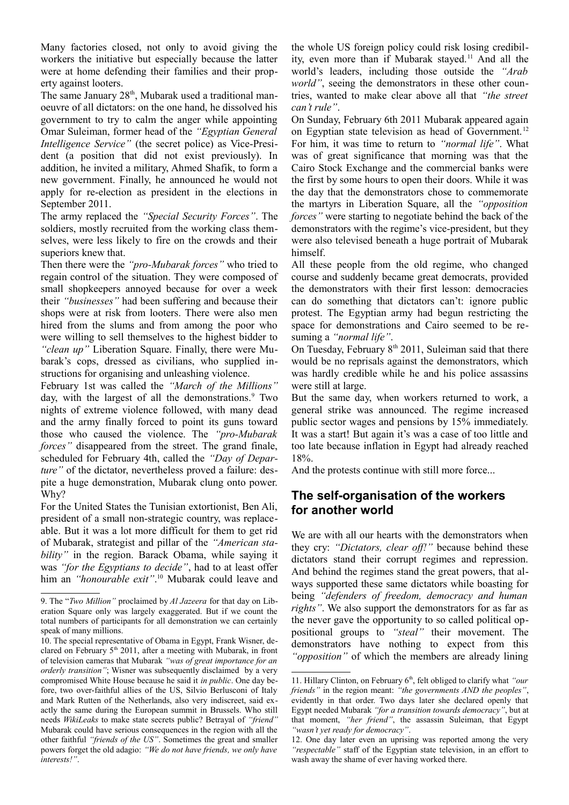Many factories closed, not only to avoid giving the workers the initiative but especially because the latter were at home defending their families and their property against looters.

The same January  $28<sup>th</sup>$ , Mubarak used a traditional manoeuvre of all dictators: on the one hand, he dissolved his government to try to calm the anger while appointing Omar Suleiman, former head of the *"Egyptian General Intelligence Service"* (the secret police) as Vice-President (a position that did not exist previously). In addition, he invited a military, Ahmed Shafik, to form a new government. Finally, he announced he would not apply for re-election as president in the elections in September 2011.

The army replaced the *"Special Security Forces"*. The soldiers, mostly recruited from the working class themselves, were less likely to fire on the crowds and their superiors knew that.

Then there were the *"pro-Mubarak forces"* who tried to regain control of the situation. They were composed of small shopkeepers annoyed because for over a week their *"businesses"* had been suffering and because their shops were at risk from looters. There were also men hired from the slums and from among the poor who were willing to sell themselves to the highest bidder to *"clean up"* Liberation Square. Finally, there were Mubarak's cops, dressed as civilians, who supplied instructions for organising and unleashing violence.

February 1st was called the *"March of the Millions"* day, with the largest of all the demonstrations.<sup>[9](#page-2-0)</sup> Two nights of extreme violence followed, with many dead and the army finally forced to point its guns toward those who caused the violence. The *"pro-Mubarak forces*" disappeared from the street. The grand finale, scheduled for February 4th, called the *"Day of Departure"* of the dictator, nevertheless proved a failure: despite a huge demonstration, Mubarak clung onto power. Why?

For the United States the Tunisian extortionist, Ben Ali, president of a small non-strategic country, was replaceable. But it was a lot more difficult for them to get rid of Mubarak, strategist and pillar of the *"American stability*" in the region. Barack Obama, while saying it was *"for the Egyptians to decide"*, had to at least offer him an *"honourable exit"*. [10](#page-2-1) Mubarak could leave and

the whole US foreign policy could risk losing credibil-ity, even more than if Mubarak stayed.<sup>[11](#page-2-2)</sup> And all the world's leaders, including those outside the *"Arab world"*, seeing the demonstrators in these other countries, wanted to make clear above all that *"the street can't rule"*.

On Sunday, February 6th 2011 Mubarak appeared again on Egyptian state television as head of Government.<sup>[12](#page-2-3)</sup> For him, it was time to return to *"normal life"*. What was of great significance that morning was that the Cairo Stock Exchange and the commercial banks were the first by some hours to open their doors. While it was the day that the demonstrators chose to commemorate the martyrs in Liberation Square, all the *"opposition forces"* were starting to negotiate behind the back of the demonstrators with the regime's vice-president, but they were also televised beneath a huge portrait of Mubarak himself.

All these people from the old regime, who changed course and suddenly became great democrats, provided the demonstrators with their first lesson: democracies can do something that dictators can't: ignore public protest. The Egyptian army had begun restricting the space for demonstrations and Cairo seemed to be resuming a *"normal life"*.

On Tuesday, February  $8<sup>th</sup> 2011$ , Suleiman said that there would be no reprisals against the demonstrators, which was hardly credible while he and his police assassins were still at large.

But the same day, when workers returned to work, a general strike was announced. The regime increased public sector wages and pensions by 15% immediately. It was a start! But again it's was a case of too little and too late because inflation in Egypt had already reached 18%.

And the protests continue with still more force...

## **The self-organisation of the workers for another world**

We are with all our hearts with the demonstrators when they cry: *"Dictators, clear off!"* because behind these dictators stand their corrupt regimes and repression. And behind the regimes stand the great powers, that always supported these same dictators while boasting for being *"defenders of freedom, democracy and human rights"*. We also support the demonstrators for as far as the never gave the opportunity to so called political oppositional groups to *"steal"* their movement. The demonstrators have nothing to expect from this *"opposition"* of which the members are already lining

<span id="page-2-0"></span><sup>9.</sup> The "*Two Million"* proclaimed by *Al Jazeera* for that day on Liberation Square only was largely exaggerated. But if we count the total numbers of participants for all demonstration we can certainly speak of many millions.

<span id="page-2-1"></span><sup>10.</sup> The special representative of Obama in Egypt, Frank Wisner, declared on February  $5<sup>th</sup>$  2011, after a meeting with Mubarak, in front of television cameras that Mubarak *"was of great importance for an orderly transition"*; Wisner was subsequently disclaimed by a very compromised White House because he said it *in public*. One day before, two over-faithful allies of the US, Silvio Berlusconi of Italy and Mark Rutten of the Netherlands, also very indiscreet, said exactly the same during the European summit in Brussels. Who still needs *WikiLeaks* to make state secrets public? Betrayal of *"friend"* Mubarak could have serious consequences in the region with all the other faithful *"friends of the US"*. Sometimes the great and smaller powers forget the old adagio: *"We do not have friends, we only have interests!"*.

<span id="page-2-2"></span><sup>11.</sup> Hillary Clinton, on February 6<sup>th</sup>, felt obliged to clarify what *"our friends"* in the region meant: *"the governments AND the peoples"*, evidently in that order. Two days later she declared openly that Egypt needed Mubarak *"for a transition towards democracy"*, but at that moment, *"her friend"*, the assassin Suleiman, that Egypt *"wasn't yet ready for democracy"*.

<span id="page-2-3"></span><sup>12.</sup> One day later even an uprising was reported among the very *"respectable"* staff of the Egyptian state television, in an effort to wash away the shame of ever having worked there.